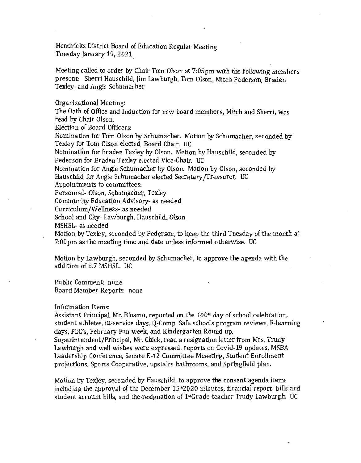Hendricks District Board of Education Regular Meeting Tuesday January 19, 2021

Meeting called to order by Chair Tom Olson at 7:05pm With the following members present: Sherri Hauschild, Jim Law burgh, Tom Olson, Mitch Pederson, Braden Texley, and Angie Schumacher

Organizational Meeting:

The Oath of Office and Induction for new board members, Mitch and Sherri, was read by Chair Olson.

Election of Board Officers:

Nomination for Tom Olson by Schumacher. Motion by Schumacher, seconded by Texley for Tom Olson elected Board Chair. UC

Nomination for Braden Texley by Olson. Motion by Hauschild, seconded by Pederson for Braden Texley elected Vice-Chair. UC

Nomination for Angie Schumacher by Olson. Motion by Olson, seconded by Hauschild for Angie Schumacher elected Secretary /Treasurer. UC

Appointments to committees:

Personnel- Olson, Schumacher, Texley

Community Education Advisory- as needed

Curriculum/Wellness- as needed

School and City- Lawburgh, Hauschild, Olson

MSHSL- as needed

Motion by Texley, seconded by Pederson, to keep the third Tuesday of the month at 7:00pm as the meeting time and date unless informed otherwise. UC

Motion by Lawburgh, seconded by Schumacher, to approve the agenda With the addition of 8.7 MSHSL. UC

Public Comment: none Board Member Reports: none

## Information Items:

Assistant Principal, Mr. Blosmo, reported on the  $100<sup>th</sup>$  day of school celebration, student athletes, in-service days, Q-Comp, Safe schools program reviews, E-learning days, PLC's, February Fun week, and Kindergarten Round up.

Superintendent/Principal, Mr. Chick, read a resignation letter from Mrs. Trudy Lawburgh and well wishes were expressed, reports on Covid-19 updates, MSBA Leadership Conference, Senate E-12 Committee Meeeting, Student Enrollment projections, Sports Cooperative, upstairs bathrooms, and Springfield plan.

Motion by Texley, seconded by Hauschild, to approve the consent agenda items including the approval of the December  $15*2020$  minutes, financial report, bills and student account bills, and the resignation of  $1*$ Grade teacher Trudy Lawburgh. UC